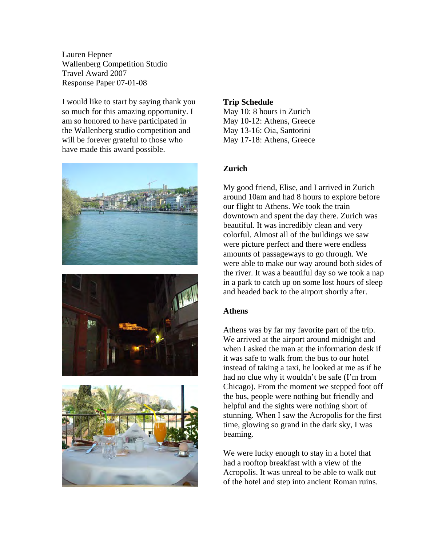Lauren Hepner Wallenberg Competition Studio Travel Award 2007 Response Paper 07-01-08

I would like to start by saying thank you so much for this amazing opportunity. I am so honored to have participated in the Wallenberg studio competition and will be forever grateful to those who have made this award possible.







## **Trip Schedule**

May 10: 8 hours in Zurich May 10-12: Athens, Greece May 13-16: Oia, Santorini May 17-18: Athens, Greece

## **Zurich**

My good friend, Elise, and I arrived in Zurich around 10am and had 8 hours to explore before our flight to Athens. We took the train downtown and spent the day there. Zurich was beautiful. It was incredibly clean and very colorful. Almost all of the buildings we saw were picture perfect and there were endless amounts of passageways to go through. We were able to make our way around both sides of the river. It was a beautiful day so we took a nap in a park to catch up on some lost hours of sleep and headed back to the airport shortly after.

## **Athens**

Athens was by far my favorite part of the trip. We arrived at the airport around midnight and when I asked the man at the information desk if it was safe to walk from the bus to our hotel instead of taking a taxi, he looked at me as if he had no clue why it wouldn't be safe (I'm from Chicago). From the moment we stepped foot off the bus, people were nothing but friendly and helpful and the sights were nothing short of stunning. When I saw the Acropolis for the first time, glowing so grand in the dark sky, I was beaming.

We were lucky enough to stay in a hotel that had a rooftop breakfast with a view of the Acropolis. It was unreal to be able to walk out of the hotel and step into ancient Roman ruins.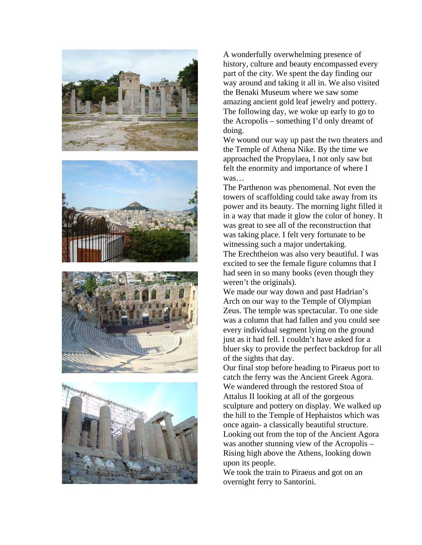







A wonderfully overwhelming presence of history, culture and beauty encompassed every part of the city. We spent the day finding our way around and taking it all in. We also visited the Benaki Museum where we saw some amazing ancient gold leaf jewelry and pottery. The following day, we woke up early to go to the Acropolis – something I'd only dreamt of doing.

We wound our way up past the two theaters and the Temple of Athena Nike. By the time we approached the Propylaea, I not only saw but felt the enormity and importance of where I was…

The Parthenon was phenomenal. Not even the towers of scaffolding could take away from its power and its beauty. The morning light filled it in a way that made it glow the color of honey. It was great to see all of the reconstruction that was taking place. I felt very fortunate to be witnessing such a major undertaking.

The Erechtheion was also very beautiful. I was excited to see the female figure columns that I had seen in so many books (even though they weren't the originals).

We made our way down and past Hadrian's Arch on our way to the Temple of Olympian Zeus. The temple was spectacular. To one side was a column that had fallen and you could see every individual segment lying on the ground just as it had fell. I couldn't have asked for a bluer sky to provide the perfect backdrop for all of the sights that day.

Our final stop before heading to Piraeus port to catch the ferry was the Ancient Greek Agora. We wandered through the restored Stoa of Attalus II looking at all of the gorgeous sculpture and pottery on display. We walked up the hill to the Temple of Hephaistos which was once again- a classically beautiful structure. Looking out from the top of the Ancient Agora was another stunning view of the Acropolis – Rising high above the Athens, looking down upon its people.

We took the train to Piraeus and got on an overnight ferry to Santorini.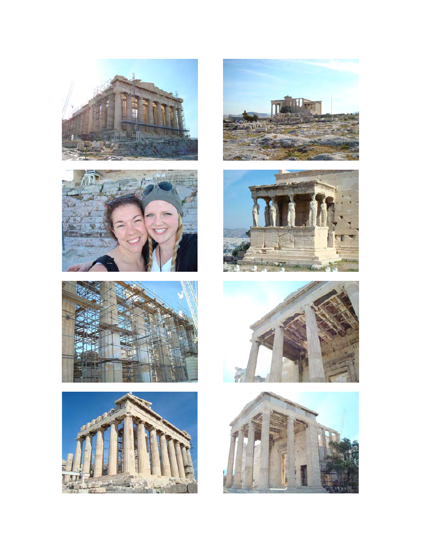













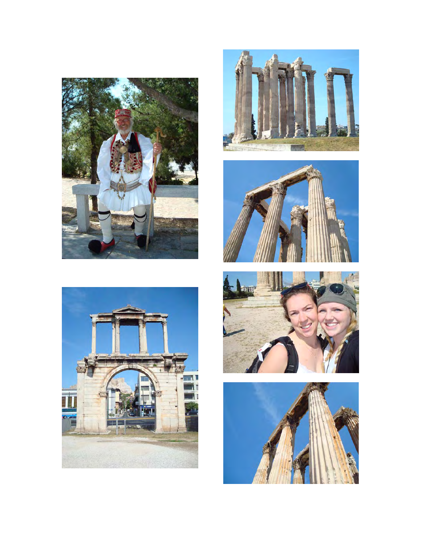









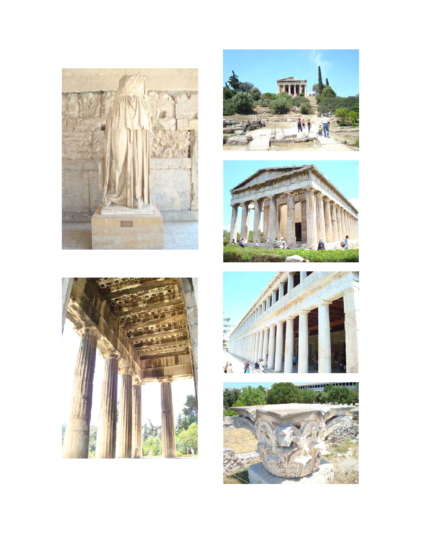









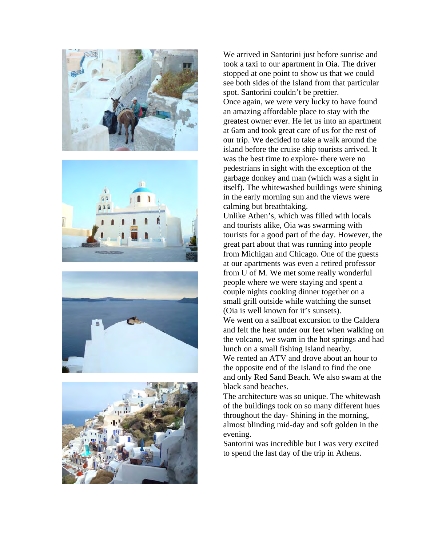







We arrived in Santorini just before sunrise and took a taxi to our apartment in Oia. The driver stopped at one point to show us that we could see both sides of the Island from that particular spot. Santorini couldn't be prettier. Once again, we were very lucky to have found an amazing affordable place to stay with the greatest owner ever. He let us into an apartment at 6am and took great care of us for the rest of our trip. We decided to take a walk around the island before the cruise ship tourists arrived. It was the best time to explore- there were no pedestrians in sight with the exception of the garbage donkey and man (which was a sight in itself). The whitewashed buildings were shining in the early morning sun and the views were calming but breathtaking.

Unlike Athen's, which was filled with locals and tourists alike, Oia was swarming with tourists for a good part of the day. However, the great part about that was running into people from Michigan and Chicago. One of the guests at our apartments was even a retired professor from U of M. We met some really wonderful people where we were staying and spent a couple nights cooking dinner together on a small grill outside while watching the sunset (Oia is well known for it's sunsets).

We went on a sailboat excursion to the Caldera and felt the heat under our feet when walking on the volcano, we swam in the hot springs and had lunch on a small fishing Island nearby.

We rented an ATV and drove about an hour to the opposite end of the Island to find the one and only Red Sand Beach. We also swam at the black sand beaches.

The architecture was so unique. The whitewash of the buildings took on so many different hues throughout the day- Shining in the morning, almost blinding mid-day and soft golden in the evening.

Santorini was incredible but I was very excited to spend the last day of the trip in Athens.